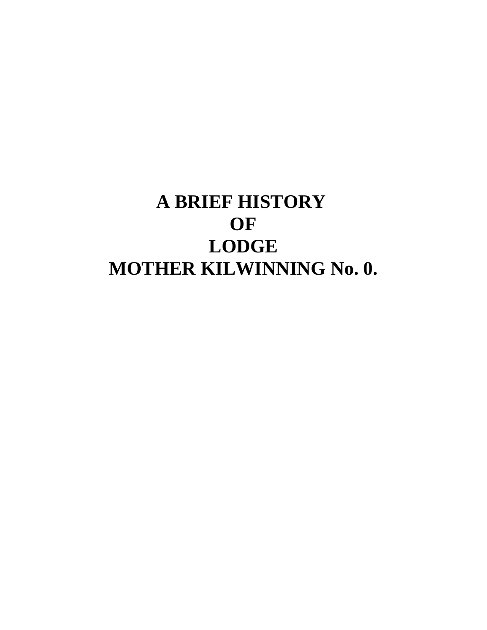# **A BRIEF HISTORY OF LODGE MOTHER KILWINNING No. 0.**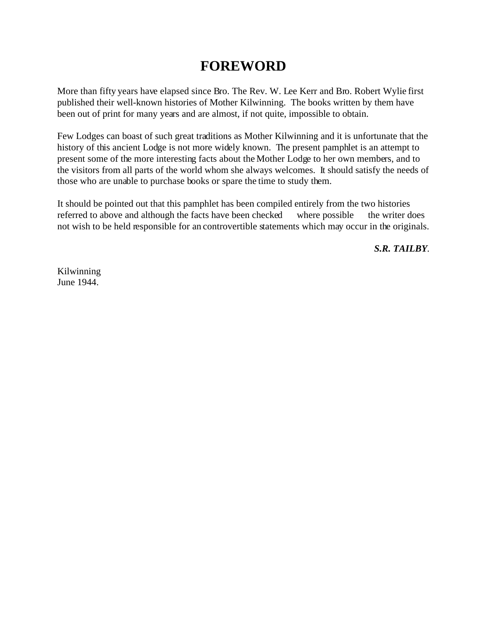# **FOREWORD**

More than fifty years have elapsed since Bro. The Rev. W. Lee Kerr and Bro. Robert Wylie first published their well-known histories of Mother Kilwinning. The books written by them have been out of print for many years and are almost, if not quite, impossible to obtain.

Few Lodges can boast of such great traditions as Mother Kilwinning and it is unfortunate that the history of this ancient Lodge is not more widely known. The present pamphlet is an attempt to present some of the more interesting facts about the Mother Lodge to her own members, and to the visitors from all parts of the world whom she always welcomes. It should satisfy the needs of those who are unable to purchase books or spare the time to study them.

It should be pointed out that this pamphlet has been compiled entirely from the two histories referred to above and although the facts have been checked where possible the writer does not wish to be held responsible for an controvertible statements which may occur in the originals.

*S.R. TAILBY*.

Kilwinning June 1944.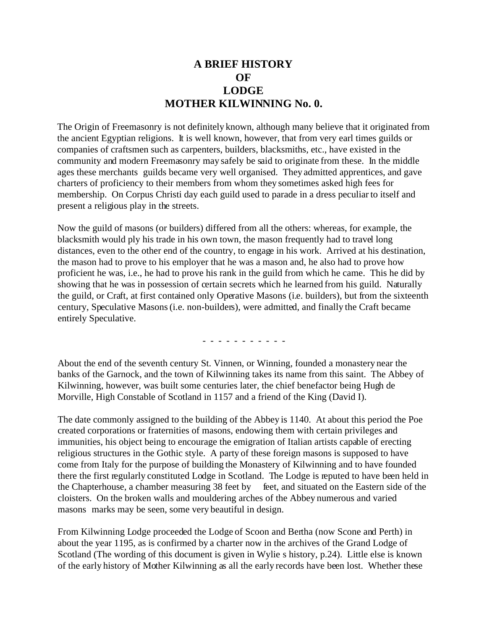## **A BRIEF HISTORY OF LODGE MOTHER KILWINNING No. 0.**

The Origin of Freemasonry is not definitely known, although many believe that it originated from the ancient Egyptian religions. It is well known, however, that from very earl times guilds or companies of craftsmen such as carpenters, builders, blacksmiths, etc., have existed in the community and modern Freemasonry may safely be said to originate from these. In the middle ages these merchants guilds became very well organised. They admitted apprentices, and gave charters of proficiency to their members from whom they sometimes asked high fees for membership. On Corpus Christi day each guild used to parade in a dress peculiar to itself and present a religious play in the streets.

Now the guild of masons (or builders) differed from all the others: whereas, for example, the blacksmith would ply his trade in his own town, the mason frequently had to travel long distances, even to the other end of the country, to engage in his work. Arrived at his destination, the mason had to prove to his employer that he was a mason and, he also had to prove how proficient he was, i.e., he had to prove his rank in the guild from which he came. This he did by showing that he was in possession of certain secrets which he learned from his guild. Naturally the guild, or Craft, at first contained only Operative Masons (i.e. builders), but from the sixteenth century, Speculative Masons (i.e. non-builders), were admitted, and finally the Craft became entirely Speculative.

- - - - - - - - - - -

About the end of the seventh century St. Vinnen, or Winning, founded a monastery near the banks of the Garnock, and the town of Kilwinning takes its name from this saint. The Abbey of Kilwinning, however, was built some centuries later, the chief benefactor being Hugh de Morville, High Constable of Scotland in 1157 and a friend of the King (David I).

The date commonly assigned to the building of the Abbey is 1140. At about this period the Poe created corporations or fraternities of masons, endowing them with certain privileges and immunities, his object being to encourage the emigration of Italian artists capable of erecting religious structures in the Gothic style. A party of these foreign masons is supposed to have come from Italy for the purpose of building the Monastery of Kilwinning and to have founded there the first regularly constituted Lodge in Scotland. The Lodge is reputed to have been held in the Chapterhouse, a chamber measuring 38 feet by feet, and situated on the Eastern side of the cloisters. On the broken walls and mouldering arches of the Abbey numerous and varied masons marks may be seen, some very beautiful in design.

From Kilwinning Lodge proceeded the Lodge of Scoon and Bertha (now Scone and Perth) in about the year 1195, as is confirmed by a charter now in the archives of the Grand Lodge of Scotland (The wording of this document is given in Wylie s history, p.24). Little else is known of the early history of Mother Kilwinning as all the early records have been lost. Whether these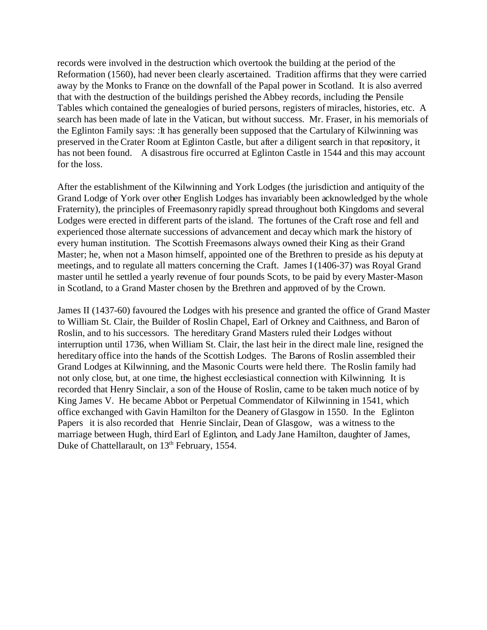records were involved in the destruction which overtook the building at the period of the Reformation (1560), had never been clearly ascertained. Tradition affirms that they were carried away by the Monks to France on the downfall of the Papal power in Scotland. It is also averred that with the destruction of the buildings perished the Abbey records, including the Pensile Tables which contained the genealogies of buried persons, registers of miracles, histories, etc. A search has been made of late in the Vatican, but without success. Mr. Fraser, in his memorials of the Eglinton Family says: :It has generally been supposed that the Cartulary of Kilwinning was preserved in the Crater Room at Eglinton Castle, but after a diligent search in that repository, it has not been found. A disastrous fire occurred at Eglinton Castle in 1544 and this may account for the loss.

After the establishment of the Kilwinning and York Lodges (the jurisdiction and antiquity of the Grand Lodge of York over other English Lodges has invariably been acknowledged by the whole Fraternity), the principles of Freemasonry rapidly spread throughout both Kingdoms and several Lodges were erected in different parts of the island. The fortunes of the Craft rose and fell and experienced those alternate successions of advancement and decay which mark the history of every human institution. The Scottish Freemasons always owned their King as their Grand Master; he, when not a Mason himself, appointed one of the Brethren to preside as his deputy at meetings, and to regulate all matters concerning the Craft. James I (1406-37) was Royal Grand master until he settled a yearly revenue of four pounds Scots, to be paid by every Master-Mason in Scotland, to a Grand Master chosen by the Brethren and approved of by the Crown.

James II (1437-60) favoured the Lodges with his presence and granted the office of Grand Master to William St. Clair, the Builder of Roslin Chapel, Earl of Orkney and Caithness, and Baron of Roslin, and to his successors. The hereditary Grand Masters ruled their Lodges without interruption until 1736, when William St. Clair, the last heir in the direct male line, resigned the hereditary office into the hands of the Scottish Lodges. The Barons of Roslin assembled their Grand Lodges at Kilwinning, and the Masonic Courts were held there. The Roslin family had not only close, but, at one time, the highest ecclesiastical connection with Kilwinning. It is recorded that Henry Sinclair, a son of the House of Roslin, came to be taken much notice of by King James V. He became Abbot or Perpetual Commendator of Kilwinning in 1541, which office exchanged with Gavin Hamilton for the Deanery of Glasgow in 1550. In the Eglinton Papers it is also recorded that Henrie Sinclair, Dean of Glasgow, was a witness to the marriage between Hugh, third Earl of Eglinton, and Lady Jane Hamilton, daughter of James, Duke of Chattellarault, on 13<sup>th</sup> February, 1554.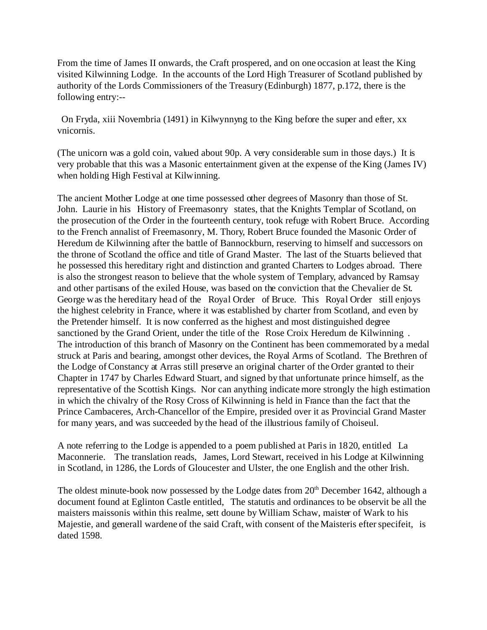From the time of James II onwards, the Craft prospered, and on one occasion at least the King visited Kilwinning Lodge. In the accounts of the Lord High Treasurer of Scotland published by authority of the Lords Commissioners of the Treasury (Edinburgh) 1877, p.172, there is the following entry:--

 On Fryda, xiii Novembria (1491) in Kilwynnyng to the King before the super and efter, xx vnicornis.

(The unicorn was a gold coin, valued about 90p. A very considerable sum in those days.) It is very probable that this was a Masonic entertainment given at the expense of the King (James IV) when holding High Festival at Kilwinning.

The ancient Mother Lodge at one time possessed other degrees of Masonry than those of St. John. Laurie in his History of Freemasonry states, that the Knights Templar of Scotland, on the prosecution of the Order in the fourteenth century, took refuge with Robert Bruce. According to the French annalist of Freemasonry, M. Thory, Robert Bruce founded the Masonic Order of Heredum de Kilwinning after the battle of Bannockburn, reserving to himself and successors on the throne of Scotland the office and title of Grand Master. The last of the Stuarts believed that he possessed this hereditary right and distinction and granted Charters to Lodges abroad. There is also the strongest reason to believe that the whole system of Templary, advanced by Ramsay and other partisans of the exiled House, was based on the conviction that the Chevalier de St. George was the hereditary head of the Royal Order of Bruce. This Royal Order still enjoys the highest celebrity in France, where it was established by charter from Scotland, and even by the Pretender himself. It is now conferred as the highest and most distinguished degree sanctioned by the Grand Orient, under the title of the Rose Croix Heredum de Kilwinning . The introduction of this branch of Masonry on the Continent has been commemorated by a medal struck at Paris and bearing, amongst other devices, the Royal Arms of Scotland. The Brethren of the Lodge of Constancy at Arras still preserve an original charter of the Order granted to their Chapter in 1747 by Charles Edward Stuart, and signed by that unfortunate prince himself, as the representative of the Scottish Kings. Nor can anything indicate more strongly the high estimation in which the chivalry of the Rosy Cross of Kilwinning is held in France than the fact that the Prince Cambaceres, Arch-Chancellor of the Empire, presided over it as Provincial Grand Master for many years, and was succeeded by the head of the illustrious family of Choiseul.

A note referring to the Lodge is appended to a poem published at Paris in 1820, entitled La Maconnerie. The translation reads, James, Lord Stewart, received in his Lodge at Kilwinning in Scotland, in 1286, the Lords of Gloucester and Ulster, the one English and the other Irish.

The oldest minute-book now possessed by the Lodge dates from  $20<sup>th</sup>$  December 1642, although a document found at Eglinton Castle entitled, The statutis and ordinances to be observit be all the maisters maissonis within this realme, sett doune by William Schaw, maister of Wark to his Majestie, and generall wardene of the said Craft, with consent of the Maisteris efter specifeit, is dated 1598.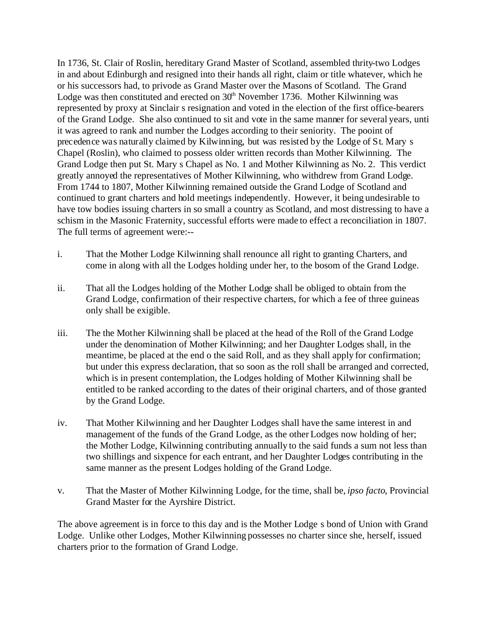In 1736, St. Clair of Roslin, hereditary Grand Master of Scotland, assembled thrity-two Lodges in and about Edinburgh and resigned into their hands all right, claim or title whatever, which he or his successors had, to privode as Grand Master over the Masons of Scotland. The Grand Lodge was then constituted and erected on  $30<sup>th</sup>$  November 1736. Mother Kilwinning was represented by proxy at Sinclair s resignation and voted in the election of the first office-bearers of the Grand Lodge. She also continued to sit and vote in the same manner for several years, unti it was agreed to rank and number the Lodges according to their seniority. The pooint of precedence was naturally claimed by Kilwinning, but was resisted by the Lodge of St. Mary s Chapel (Roslin), who claimed to possess older written records than Mother Kilwinning. The Grand Lodge then put St. Mary s Chapel as No. 1 and Mother Kilwinning as No. 2. This verdict greatly annoyed the representatives of Mother Kilwinning, who withdrew from Grand Lodge. From 1744 to 1807, Mother Kilwinning remained outside the Grand Lodge of Scotland and continued to grant charters and hold meetings independently. However, it being undesirable to have tow bodies issuing charters in so small a country as Scotland, and most distressing to have a schism in the Masonic Fraternity, successful efforts were made to effect a reconciliation in 1807. The full terms of agreement were:--

- i. That the Mother Lodge Kilwinning shall renounce all right to granting Charters, and come in along with all the Lodges holding under her, to the bosom of the Grand Lodge.
- ii. That all the Lodges holding of the Mother Lodge shall be obliged to obtain from the Grand Lodge, confirmation of their respective charters, for which a fee of three guineas only shall be exigible.
- iii. The the Mother Kilwinning shall be placed at the head of the Roll of the Grand Lodge under the denomination of Mother Kilwinning; and her Daughter Lodges shall, in the meantime, be placed at the end o the said Roll, and as they shall apply for confirmation; but under this express declaration, that so soon as the roll shall be arranged and corrected, which is in present contemplation, the Lodges holding of Mother Kilwinning shall be entitled to be ranked according to the dates of their original charters, and of those granted by the Grand Lodge.
- iv. That Mother Kilwinning and her Daughter Lodges shall have the same interest in and management of the funds of the Grand Lodge, as the other Lodges now holding of her; the Mother Lodge, Kilwinning contributing annually to the said funds a sum not less than two shillings and sixpence for each entrant, and her Daughter Lodges contributing in the same manner as the present Lodges holding of the Grand Lodge.
- v. That the Master of Mother Kilwinning Lodge, for the time, shall be, *ipso facto*, Provincial Grand Master for the Ayrshire District.

The above agreement is in force to this day and is the Mother Lodge s bond of Union with Grand Lodge. Unlike other Lodges, Mother Kilwinning possesses no charter since she, herself, issued charters prior to the formation of Grand Lodge.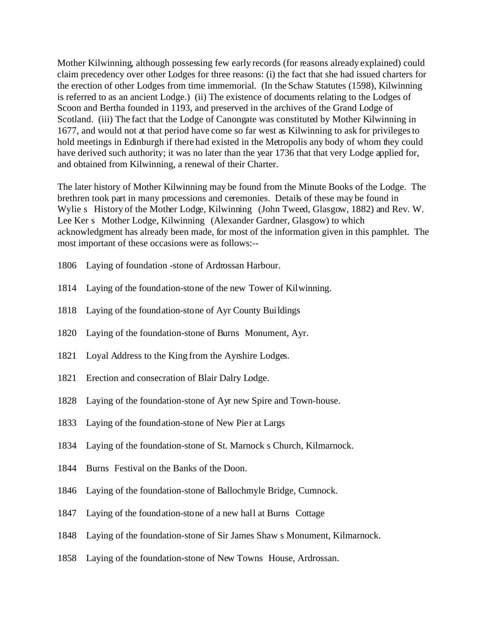Mother Kilwinning, although possessing few early records (for reasons already explained) could claim precedency over other Lodges for three reasons: (i) the fact that she had issued charters for the erection of other Lodges from time immemorial. (In the Schaw Statutes (1598), Kilwinning is referred to as an ancient Lodge.) (ii) The existence of documents relating to the Lodges of Scoon and Bertha founded in 1193, and preserved in the archives of the Grand Lodge of Scotland. (iii) The fact that the Lodge of Canongate was constituted by Mother Kilwinning in 1677, and would not at that period have come so far west as Kilwinning to ask for privileges to hold meetings in Edinburgh if there had existed in the Metropolis any body of whom they could have derived such authority; it was no later than the year 1736 that that very Lodge applied for, and obtained from Kilwinning, a renewal of their Charter.

The later history of Mother Kilwinning may be found from the Minute Books of the Lodge. The brethren took part in many processions and ceremonies. Details of these may be found in Wylie s History of the Mother Lodge, Kilwinning (John Tweed, Glasgow, 1882) and Rev. W. Lee Ker s Mother Lodge, Kilwinning (Alexander Gardner, Glasgow) to which acknowledgment has already been made, for most of the information given in this pamphlet. The most important of these occasions were as follows:--

- 1806 Laying of foundation -stone of Ardrossan Harbour.
- 1814 Laying of the foundation-stone of the new Tower of Kilwinning.
- 1818 Laying of the foundation-stone of Ayr County Buildings
- 1820 Laying of the foundation-stone of Burns Monument, Ayr.
- 1821 Loyal Address to the King from the Ayrshire Lodges.
- 1821 Erection and consecration of Blair Dalry Lodge.
- 1828 Laying of the foundation-stone of Ayr new Spire and Town-house.
- 1833 Laying of the foundation-stone of New Pier at Largs
- 1834 Laying of the foundation-stone of St. Marnock s Church, Kilmarnock.
- 1844 Burns Festival on the Banks of the Doon.
- 1846 Laying of the foundation-stone of Ballochmyle Bridge, Cumnock.
- 1847 Laying of the foundation-stone of a new hall at Burns Cottage
- 1848 Laying of the foundation-stone of Sir James Shaw s Monument, Kilmarnock.
- 1858 Laying of the foundation-stone of New Towns House, Ardrossan.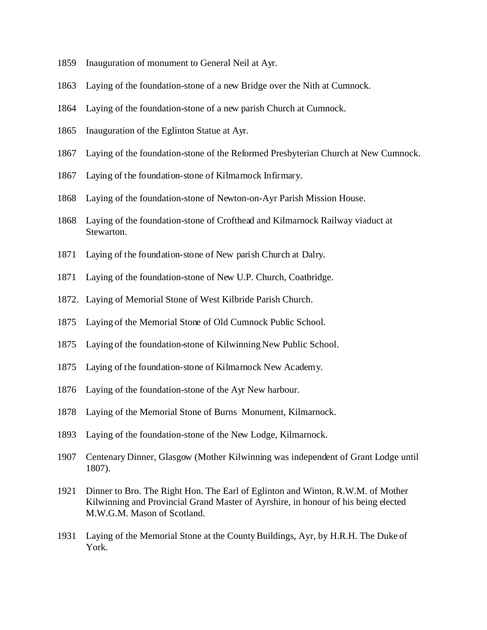- Inauguration of monument to General Neil at Ayr.
- Laying of the foundation-stone of a new Bridge over the Nith at Cumnock.
- Laying of the foundation-stone of a new parish Church at Cumnock.
- Inauguration of the Eglinton Statue at Ayr.
- Laying of the foundation-stone of the Reformed Presbyterian Church at New Cumnock.
- Laying of the foundation-stone of Kilmarnock Infirmary.
- Laying of the foundation-stone of Newton-on-Ayr Parish Mission House.
- Laying of the foundation-stone of Crofthead and Kilmarnock Railway viaduct at Stewarton.
- Laying of the foundation-stone of New parish Church at Dalry.
- Laying of the foundation-stone of New U.P. Church, Coatbridge.
- 1872. Laying of Memorial Stone of West Kilbride Parish Church.
- Laying of the Memorial Stone of Old Cumnock Public School.
- Laying of the foundation-stone of Kilwinning New Public School.
- Laying of the foundation-stone of Kilmarnock New Academy.
- Laying of the foundation-stone of the Ayr New harbour.
- Laying of the Memorial Stone of Burns Monument, Kilmarnock.
- Laying of the foundation-stone of the New Lodge, Kilmarnock.
- Centenary Dinner, Glasgow (Mother Kilwinning was independent of Grant Lodge until 1807).
- Dinner to Bro. The Right Hon. The Earl of Eglinton and Winton, R.W.M. of Mother Kilwinning and Provincial Grand Master of Ayrshire, in honour of his being elected M.W.G.M. Mason of Scotland.
- Laying of the Memorial Stone at the County Buildings, Ayr, by H.R.H. The Duke of York.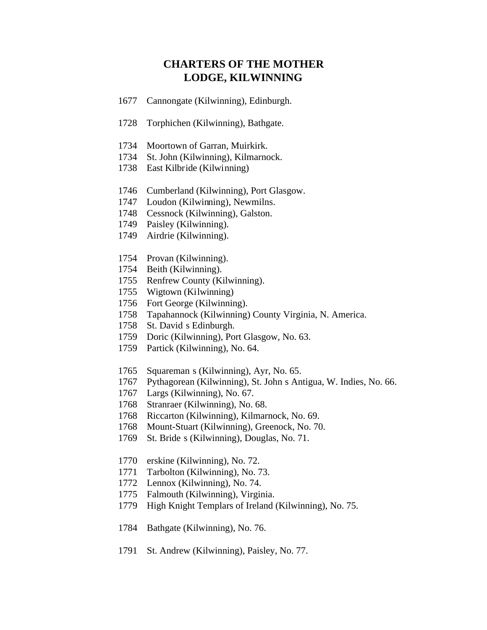#### **CHARTERS OF THE MOTHER LODGE, KILWINNING**

- Cannongate (Kilwinning), Edinburgh.
- Torphichen (Kilwinning), Bathgate.
- Moortown of Garran, Muirkirk.
- St. John (Kilwinning), Kilmarnock.
- East Kilbride (Kilwinning)
- Cumberland (Kilwinning), Port Glasgow.
- Loudon (Kilwinning), Newmilns.
- Cessnock (Kilwinning), Galston.
- Paisley (Kilwinning).
- Airdrie (Kilwinning).
- Provan (Kilwinning).
- Beith (Kilwinning).
- Renfrew County (Kilwinning).
- Wigtown (Kilwinning)
- Fort George (Kilwinning).
- Tapahannock (Kilwinning) County Virginia, N. America.
- St. David s Edinburgh.
- Doric (Kilwinning), Port Glasgow, No. 63.
- Partick (Kilwinning), No. 64.
- Squareman s (Kilwinning), Ayr, No. 65.
- Pythagorean (Kilwinning), St. John s Antigua, W. Indies, No. 66.
- Largs (Kilwinning), No. 67.
- Stranraer (Kilwinning), No. 68.
- Riccarton (Kilwinning), Kilmarnock, No. 69.
- Mount-Stuart (Kilwinning), Greenock, No. 70.
- St. Bride s (Kilwinning), Douglas, No. 71.
- erskine (Kilwinning), No. 72.
- Tarbolton (Kilwinning), No. 73.
- Lennox (Kilwinning), No. 74.
- Falmouth (Kilwinning), Virginia.
- High Knight Templars of Ireland (Kilwinning), No. 75.
- Bathgate (Kilwinning), No. 76.
- St. Andrew (Kilwinning), Paisley, No. 77.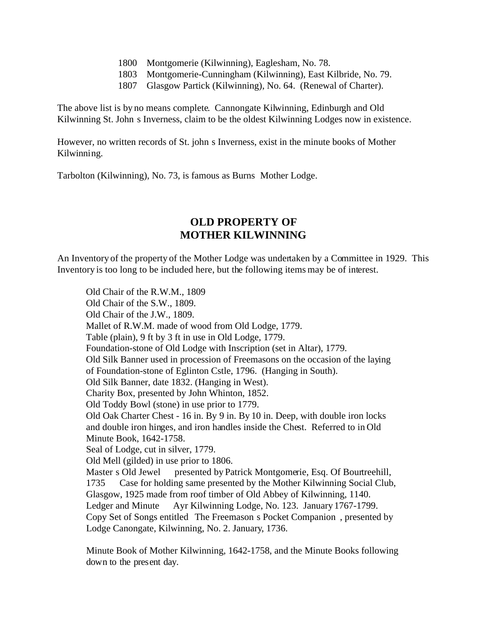- 1800 Montgomerie (Kilwinning), Eaglesham, No. 78.
- 1803 Montgomerie-Cunningham (Kilwinning), East Kilbride, No. 79.
- 1807 Glasgow Partick (Kilwinning), No. 64. (Renewal of Charter).

The above list is by no means complete. Cannongate Kilwinning, Edinburgh and Old Kilwinning St. John s Inverness, claim to be the oldest Kilwinning Lodges now in existence.

However, no written records of St. john s Inverness, exist in the minute books of Mother Kilwinning.

Tarbolton (Kilwinning), No. 73, is famous as Burns Mother Lodge.

### **OLD PROPERTY OF MOTHER KILWINNING**

An Inventory of the property of the Mother Lodge was undertaken by a Committee in 1929. This Inventory is too long to be included here, but the following items may be of interest.

Old Chair of the R.W.M., 1809 Old Chair of the S.W., 1809. Old Chair of the J.W., 1809. Mallet of R.W.M. made of wood from Old Lodge, 1779. Table (plain), 9 ft by 3 ft in use in Old Lodge, 1779. Foundation-stone of Old Lodge with Inscription (set in Altar), 1779. Old Silk Banner used in procession of Freemasons on the occasion of the laying of Foundation-stone of Eglinton Cstle, 1796. (Hanging in South). Old Silk Banner, date 1832. (Hanging in West). Charity Box, presented by John Whinton, 1852. Old Toddy Bowl (stone) in use prior to 1779. Old Oak Charter Chest - 16 in. By 9 in. By 10 in. Deep, with double iron locks and double iron hinges, and iron handles inside the Chest. Referred to in Old Minute Book, 1642-1758. Seal of Lodge, cut in silver, 1779. Old Mell (gilded) in use prior to 1806. Master s Old Jewel presented by Patrick Montgomerie, Esq. Of Bourtreehill, 1735 Case for holding same presented by the Mother Kilwinning Social Club, Glasgow, 1925 made from roof timber of Old Abbey of Kilwinning, 1140. Ledger and Minute Ayr Kilwinning Lodge, No. 123. January 1767-1799. Copy Set of Songs entitled The Freemason s Pocket Companion , presented by Lodge Canongate, Kilwinning, No. 2. January, 1736.

Minute Book of Mother Kilwinning, 1642-1758, and the Minute Books following down to the present day.